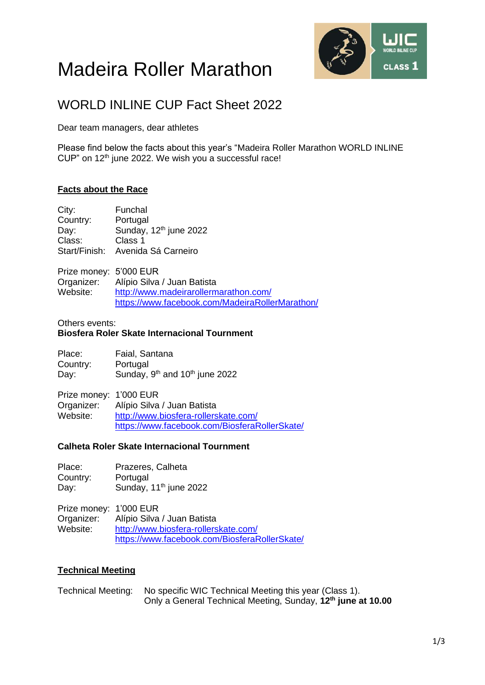# Madeira Roller Marathon



# WORLD INLINE CUP Fact Sheet 2022

Dear team managers, dear athletes

Please find below the facts about this year's "Madeira Roller Marathon WORLD INLINE CUP" on 12<sup>th</sup> june 2022. We wish you a successful race!

# **Facts about the Race**

City: Funchal Country: Portugal Day: Sunday, 12<sup>th</sup> june 2022 Class: Class 1 Start/Finish: Avenida Sá Carneiro

Prize money: 5'000 EUR<br>Organizer: Alípio Silva Organizer: Alípio Silva / Juan Batista<br>Website: http://www.madeirarollerm <http://www.madeirarollermarathon.com/> <https://www.facebook.com/MadeiraRollerMarathon/>

#### Others events: **Biosfera Roler Skate Internacional Tournment**

| Place:   | Faial, Santana                                         |  |
|----------|--------------------------------------------------------|--|
| Country: | Portugal                                               |  |
| Day:     | Sunday, 9 <sup>th</sup> and 10 <sup>th</sup> june 2022 |  |

Prize money: 1'000 EUR Organizer: Alípio Silva / Juan Batista Website: [http://www.biosfera-rollerskate.com/](http://www.madeirarollermarathon.com/) <https://www.facebook.com/BiosferaRollerSkate/>

# **Calheta Roler Skate Internacional Tournment**

Place: Prazeres, Calheta Country: Portugal Day: Sunday, 11<sup>th</sup> june 2022

Prize money: 1'000 EUR Organizer: Alípio Silva / Juan Batista Website: [http://www.biosfera-rollerskate.com/](http://www.madeirarollermarathon.com/) <https://www.facebook.com/BiosferaRollerSkate/>

# **Technical Meeting**

Technical Meeting: No specific WIC Technical Meeting this year (Class 1). Only a General Technical Meeting, Sunday, **12 th june at 10.00**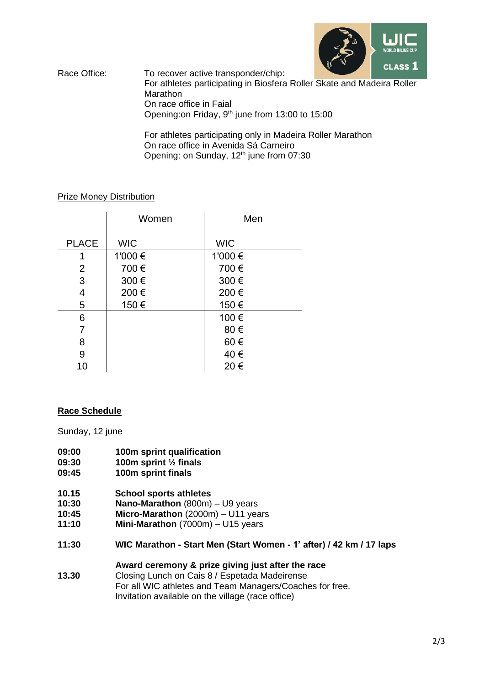

Race Office: To recover active transponder/chip: For athletes participating in Biosfera Roller Skate and Madeira Roller **Marathon** On race office in Faial Opening: on Friday, 9<sup>th</sup> june from 13:00 to 15:00

> For athletes participating only in Madeira Roller Marathon On race office in Avenida Sá Carneiro Opening: on Sunday, 12<sup>th</sup> june from 07:30

#### Prize Money Distribution

|                | Women      | Men        |
|----------------|------------|------------|
| <b>PLACE</b>   | <b>WIC</b> | <b>WIC</b> |
| 1              | 1'000 €    | 1'000 €    |
| 2              | 700€       | 700€       |
| 3              | 300€       | 300€       |
| 4              | 200€       | 200€       |
| 5              | 150€       | 150€       |
| 6              |            | 100€       |
| $\overline{7}$ |            | 80€        |
| 8              |            | 60€        |
| 9              |            | 40€        |
| 10             |            | 20€        |

#### **Race Schedule**

Sunday, 12 june

- **09:00** 100m sprint qualification<br>09:30 100m sprint <sup>1</sup>/<sub>2</sub> finals
- **09:30 100m sprint ½ finals**
- **09:45 100m sprint finals**
- **10.15 School sports athletes**
- **10:30 Nano-Marathon** (800m) U9 years
- **10:45 Micro-Marathon** (2000m) U11 years<br>**11:10 Mini-Marathon** (7000m) U15 years
- **Mini-Marathon** (7000m) U15 years
- **11:30 WIC Marathon - Start Men (Start Women - 1' after) / 42 km / 17 laps**

#### **Award ceremony & prize giving just after the race**

**13.30** Closing Lunch on Cais 8 / Espetada Madeirense For all WIC athletes and Team Managers/Coaches for free. Invitation available on the village (race office)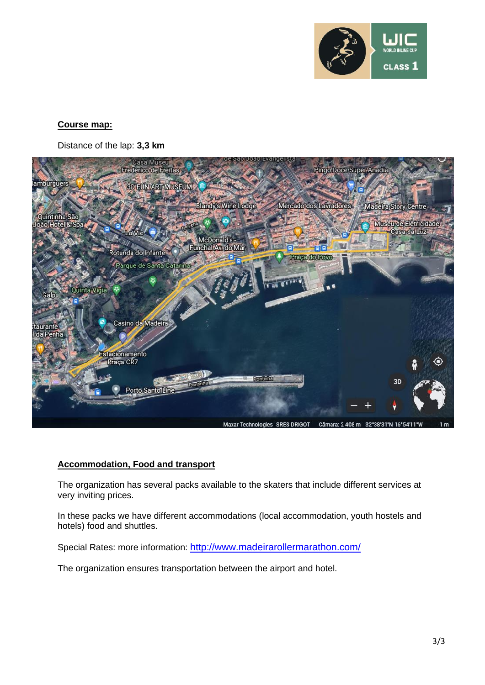

#### **Course map:**

Distance of the lap: **3,3 km**



# **Accommodation, Food and transport**

The organization has several packs available to the skaters that include different services at very inviting prices.

In these packs we have different accommodations (local accommodation, youth hostels and hotels) food and shuttles.

Special Rates: more information: <http://www.madeirarollermarathon.com/>

The organization ensures transportation between the airport and hotel.